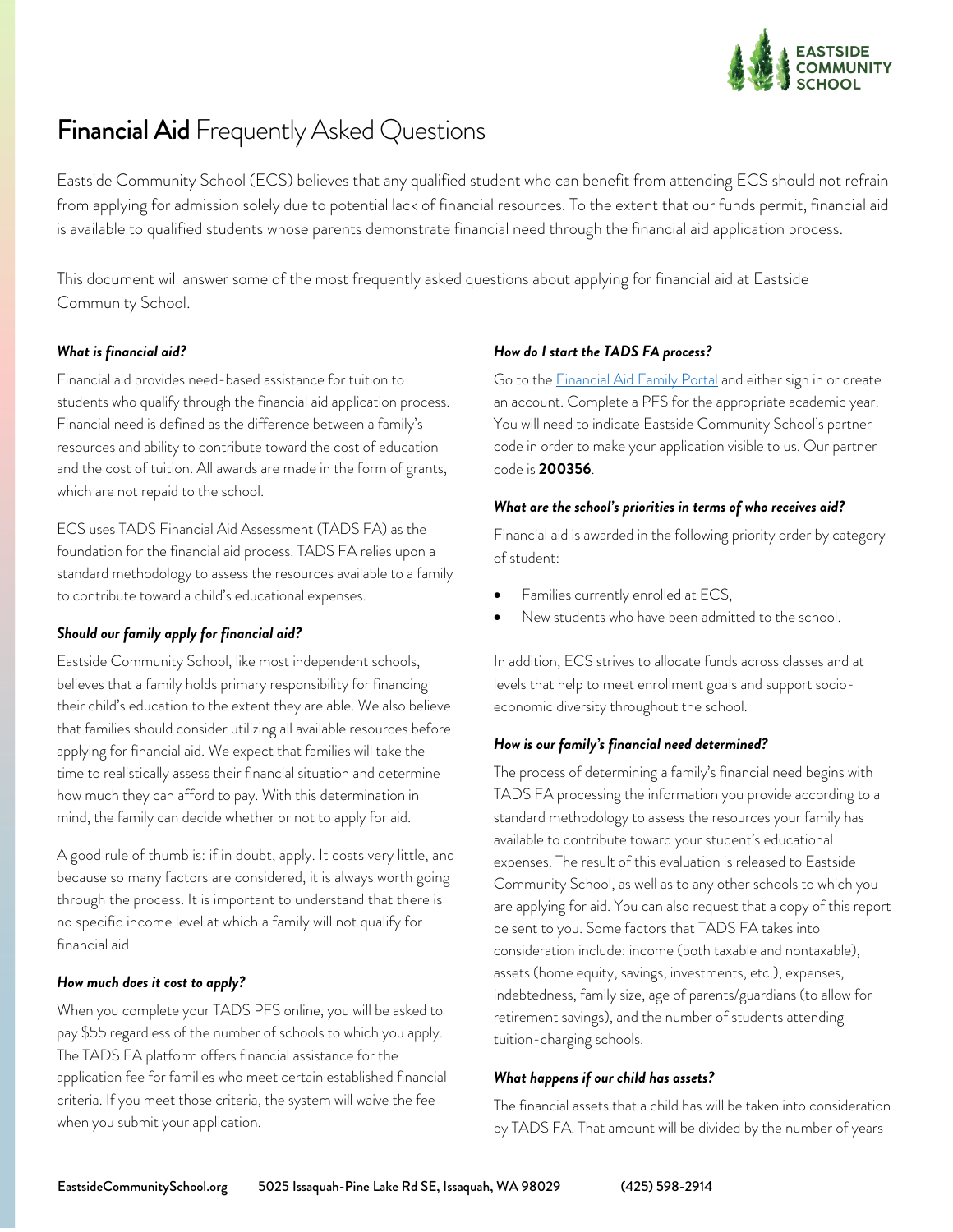

# **Financial Aid** Frequently Asked Questions

Eastside Community School (ECS) believes that any qualified student who can benefit from attending ECS should not refrain from applying for admission solely due to potential lack of financial resources. To the extent that our funds permit, financial aid is available to qualified students whose parents demonstrate financial need through the financial aid application process.

This document will answer some of the most frequently asked questions about applying for financial aid at Eastside Community School.

## *What is financial aid?*

Financial aid provides need-based assistance for tuition to students who qualify through the financial aid application process. Financial need is defined as the difference between a family's resources and ability to contribute toward the cost of education and the cost of tuition. All awards are made in the form of grants, which are not repaid to the school.

ECS uses TADS Financial Aid Assessment (TADS FA) as the foundation for the financial aid process. TADS FA relies upon a standard methodology to assess the resources available to a family to contribute toward a child's educational expenses.

#### *Should our family apply for financial aid?*

Eastside Community School, like most independent schools, believes that a family holds primary responsibility for financing their child's education to the extent they are able. We also believe that families should consider utilizing all available resources before applying for financial aid. We expect that families will take the time to realistically assess their financial situation and determine how much they can afford to pay. With this determination in mind, the family can decide whether or not to apply for aid.

A good rule of thumb is: if in doubt, apply. It costs very little, and because so many factors are considered, it is always worth going through the process. It is important to understand that there is no specific income level at which a family will not qualify for financial aid.

#### *How much does it cost to apply?*

When you complete your TADS PFS online, you will be asked to pay \$55 regardless of the number of schools to which you apply. The TADS FA platform offers financial assistance for the application fee for families who meet certain established financial criteria. If you meet those criteria, the system will waive the fee when you submit your application.

#### *How do I start the TADS FA process?*

Go to the **Financial Aid Family Portal** and either sign in or create an account. Complete a PFS for the appropriate academic year. You will need to indicate Eastside Community School's partner code in order to make your application visible to us. Our partner code is **200356**.

#### *What are the school's priorities in terms of who receives aid?*

Financial aid is awarded in the following priority order by category of student:

- Families currently enrolled at ECS,
- New students who have been admitted to the school.

In addition, ECS strives to allocate funds across classes and at levels that help to meet enrollment goals and support socioeconomic diversity throughout the school.

## *How is our family's financial need determined?*

The process of determining a family's financial need begins with TADS FA processing the information you provide according to a standard methodology to assess the resources your family has available to contribute toward your student's educational expenses. The result of this evaluation is released to Eastside Community School, as well as to any other schools to which you are applying for aid. You can also request that a copy of this report be sent to you. Some factors that TADS FA takes into consideration include: income (both taxable and nontaxable), assets (home equity, savings, investments, etc.), expenses, indebtedness, family size, age of parents/guardians (to allow for retirement savings), and the number of students attending tuition-charging schools.

## *What happens if our child has assets?*

The financial assets that a child has will be taken into consideration by TADS FA. That amount will be divided by the number of years